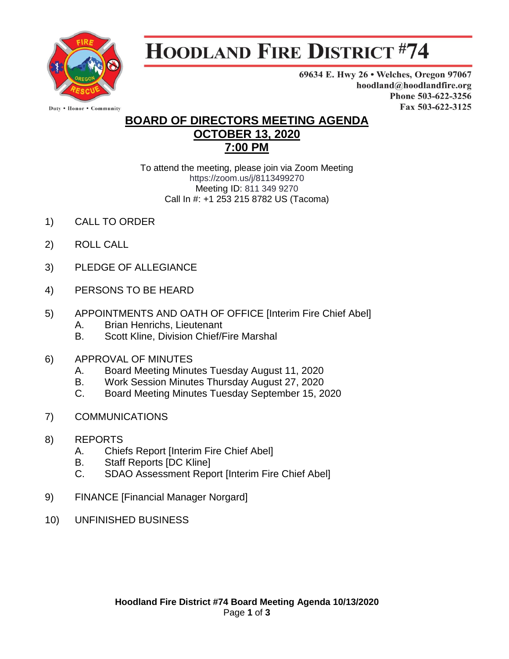

## **HOODLAND FIRE DISTRICT #74**

69634 E. Hwy 26 . Welches, Oregon 97067 hoodland@hoodlandfire.org Phone 503-622-3256 Fax 503-622-3125

## **BOARD OF DIRECTORS MEETING AGENDA OCTOBER 13, 2020 7:00 PM**

To attend the meeting, please join via Zoom Meeting https://zoom.us/j/8113499270 Meeting ID: 811 349 9270 Call In #: +1 253 215 8782 US (Tacoma)

- 1) CALL TO ORDER
- 2) ROLL CALL
- 3) PLEDGE OF ALLEGIANCE
- 4) PERSONS TO BE HEARD
- 5) APPOINTMENTS AND OATH OF OFFICE [Interim Fire Chief Abel] A. Brian Henrichs, Lieutenant
	- B. Scott Kline, Division Chief/Fire Marshal
- 6) APPROVAL OF MINUTES
	- A. Board Meeting Minutes Tuesday August 11, 2020
	- B. Work Session Minutes Thursday August 27, 2020
	- C. Board Meeting Minutes Tuesday September 15, 2020
- 7) COMMUNICATIONS
- 8) REPORTS
	- A. Chiefs Report [Interim Fire Chief Abel]
	- B. Staff Reports [DC Kline]
	- C. SDAO Assessment Report [Interim Fire Chief Abel]
- 9) FINANCE [Financial Manager Norgard]
- 10) UNFINISHED BUSINESS

Duty . Honor . Community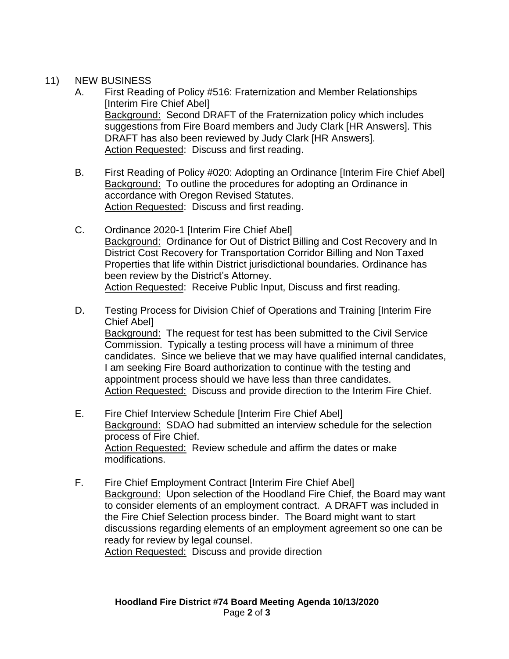## 11) NEW BUSINESS

- A. First Reading of Policy #516: Fraternization and Member Relationships [Interim Fire Chief Abel] Background: Second DRAFT of the Fraternization policy which includes suggestions from Fire Board members and Judy Clark [HR Answers]. This DRAFT has also been reviewed by Judy Clark [HR Answers]. Action Requested: Discuss and first reading.
- B. First Reading of Policy #020: Adopting an Ordinance [Interim Fire Chief Abel] Background: To outline the procedures for adopting an Ordinance in accordance with Oregon Revised Statutes. Action Requested: Discuss and first reading.
- C. Ordinance 2020-1 [Interim Fire Chief Abel] Background: Ordinance for Out of District Billing and Cost Recovery and In District Cost Recovery for Transportation Corridor Billing and Non Taxed Properties that life within District jurisdictional boundaries. Ordinance has been review by the District's Attorney. Action Requested: Receive Public Input, Discuss and first reading.
- D. Testing Process for Division Chief of Operations and Training [Interim Fire Chief Abel] Background: The request for test has been submitted to the Civil Service Commission. Typically a testing process will have a minimum of three candidates. Since we believe that we may have qualified internal candidates, I am seeking Fire Board authorization to continue with the testing and appointment process should we have less than three candidates. Action Requested: Discuss and provide direction to the Interim Fire Chief.
- E. Fire Chief Interview Schedule [Interim Fire Chief Abel] Background: SDAO had submitted an interview schedule for the selection process of Fire Chief. Action Requested: Review schedule and affirm the dates or make modifications.
- F. Fire Chief Employment Contract [Interim Fire Chief Abel] Background: Upon selection of the Hoodland Fire Chief, the Board may want to consider elements of an employment contract. A DRAFT was included in the Fire Chief Selection process binder. The Board might want to start discussions regarding elements of an employment agreement so one can be ready for review by legal counsel.

Action Requested: Discuss and provide direction